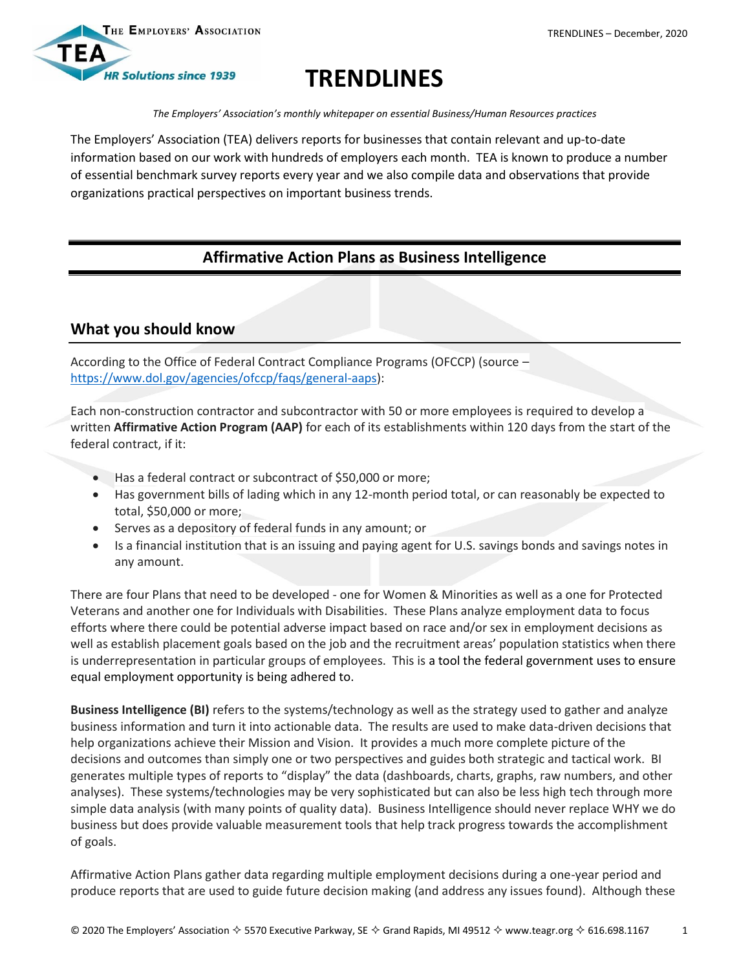

# **TRENDLINES**

*The Employers' Association's monthly whitepaper on essential Business/Human Resources practices*

The Employers' Association (TEA) delivers reports for businesses that contain relevant and up-to-date information based on our work with hundreds of employers each month. TEA is known to produce a number of essential benchmark survey reports every year and we also compile data and observations that provide organizations practical perspectives on important business trends.

## **Affirmative Action Plans as Business Intelligence**

## **What you should know**

According to the Office of Federal Contract Compliance Programs (OFCCP) (source – [https://www.dol.gov/agencies/ofccp/faqs/general-aaps\)](https://www.dol.gov/agencies/ofccp/faqs/general-aaps):

Each non-construction contractor and subcontractor with 50 or more employees is required to develop a written **Affirmative Action Program (AAP)** for each of its establishments within 120 days from the start of the federal contract, if it:

- Has a federal contract or subcontract of \$50,000 or more;
- Has government bills of lading which in any 12-month period total, or can reasonably be expected to total, \$50,000 or more;
- Serves as a depository of federal funds in any amount; or
- Is a financial institution that is an issuing and paying agent for U.S. savings bonds and savings notes in any amount.

There are four Plans that need to be developed - one for Women & Minorities as well as a one for Protected Veterans and another one for Individuals with Disabilities. These Plans analyze employment data to focus efforts where there could be potential adverse impact based on race and/or sex in employment decisions as well as establish placement goals based on the job and the recruitment areas' population statistics when there is underrepresentation in particular groups of employees. This is a tool the federal government uses to ensure equal employment opportunity is being adhered to.

**Business Intelligence (BI)** refers to the systems/technology as well as the strategy used to gather and analyze business information and turn it into actionable data. The results are used to make data-driven decisions that help organizations achieve their Mission and Vision. It provides a much more complete picture of the decisions and outcomes than simply one or two perspectives and guides both strategic and tactical work. BI generates multiple types of reports to "display" the data (dashboards, charts, graphs, raw numbers, and other analyses). These systems/technologies may be very sophisticated but can also be less high tech through more simple data analysis (with many points of quality data). Business Intelligence should never replace WHY we do business but does provide valuable measurement tools that help track progress towards the accomplishment of goals.

Affirmative Action Plans gather data regarding multiple employment decisions during a one-year period and produce reports that are used to guide future decision making (and address any issues found). Although these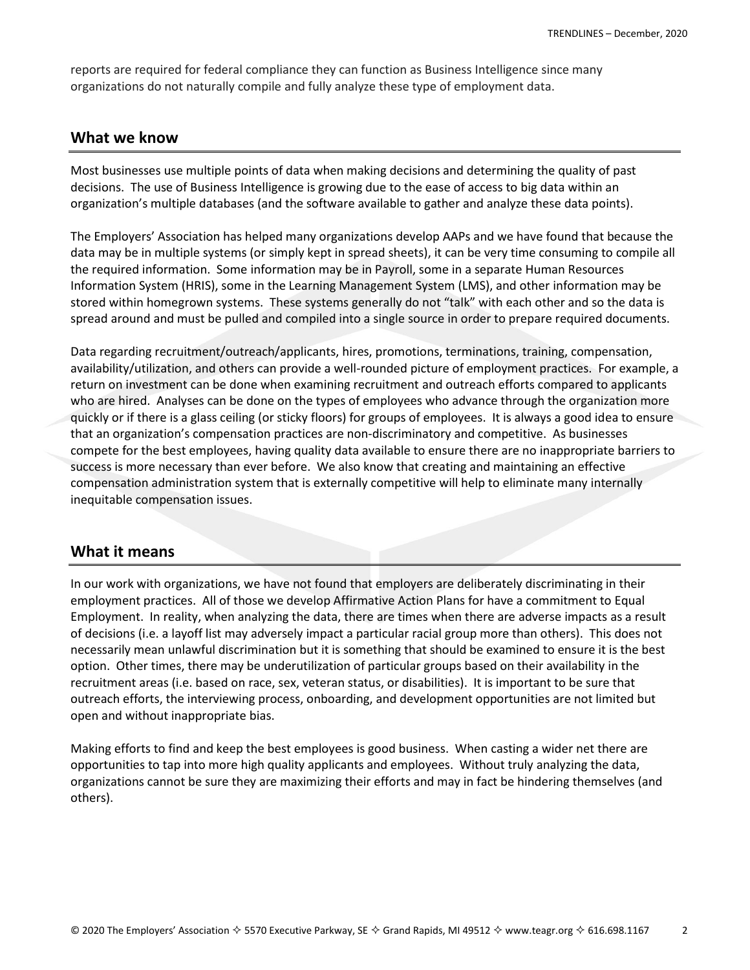reports are required for federal compliance they can function as Business Intelligence since many organizations do not naturally compile and fully analyze these type of employment data.

#### **What we know**

Most businesses use multiple points of data when making decisions and determining the quality of past decisions. The use of Business Intelligence is growing due to the ease of access to big data within an organization's multiple databases (and the software available to gather and analyze these data points).

The Employers' Association has helped many organizations develop AAPs and we have found that because the data may be in multiple systems (or simply kept in spread sheets), it can be very time consuming to compile all the required information. Some information may be in Payroll, some in a separate Human Resources Information System (HRIS), some in the Learning Management System (LMS), and other information may be stored within homegrown systems. These systems generally do not "talk" with each other and so the data is spread around and must be pulled and compiled into a single source in order to prepare required documents.

Data regarding recruitment/outreach/applicants, hires, promotions, terminations, training, compensation, availability/utilization, and others can provide a well-rounded picture of employment practices. For example, a return on investment can be done when examining recruitment and outreach efforts compared to applicants who are hired. Analyses can be done on the types of employees who advance through the organization more quickly or if there is a glass ceiling (or sticky floors) for groups of employees. It is always a good idea to ensure that an organization's compensation practices are non-discriminatory and competitive. As businesses compete for the best employees, having quality data available to ensure there are no inappropriate barriers to success is more necessary than ever before. We also know that creating and maintaining an effective compensation administration system that is externally competitive will help to eliminate many internally inequitable compensation issues.

#### **What it means**

In our work with organizations, we have not found that employers are deliberately discriminating in their employment practices. All of those we develop Affirmative Action Plans for have a commitment to Equal Employment. In reality, when analyzing the data, there are times when there are adverse impacts as a result of decisions (i.e. a layoff list may adversely impact a particular racial group more than others). This does not necessarily mean unlawful discrimination but it is something that should be examined to ensure it is the best option. Other times, there may be underutilization of particular groups based on their availability in the recruitment areas (i.e. based on race, sex, veteran status, or disabilities). It is important to be sure that outreach efforts, the interviewing process, onboarding, and development opportunities are not limited but open and without inappropriate bias.

Making efforts to find and keep the best employees is good business. When casting a wider net there are opportunities to tap into more high quality applicants and employees. Without truly analyzing the data, organizations cannot be sure they are maximizing their efforts and may in fact be hindering themselves (and others).